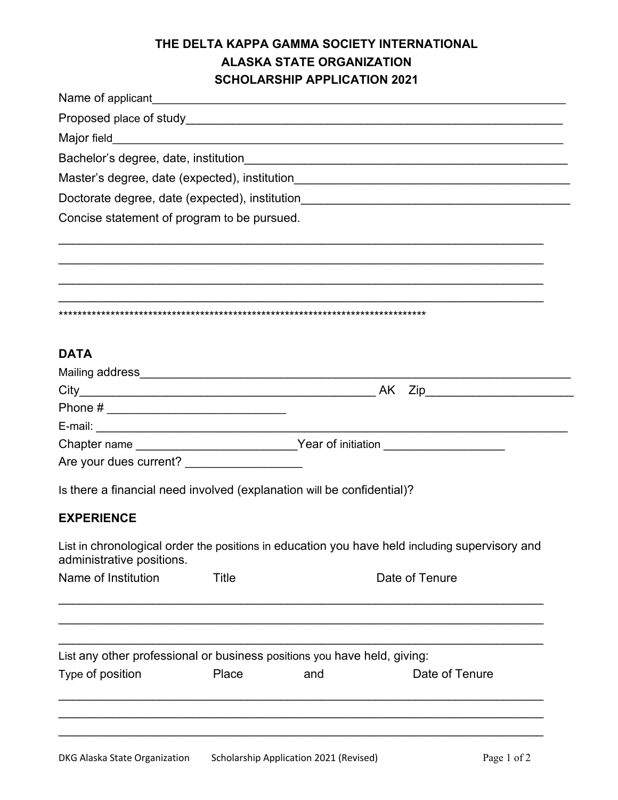## **THE DELTA KAPPA GAMMA SOCIETY INTERNATIONAL ALASKA STATE ORGANIZATION SCHOLARSHIP APPLICATION 2021**

| Name of applicant example of a series of the series of the series of the series of the series of the series of the series of the series of the series of the series of the series of the series of the series of the series of |       |     |                                                                                                |  |
|--------------------------------------------------------------------------------------------------------------------------------------------------------------------------------------------------------------------------------|-------|-----|------------------------------------------------------------------------------------------------|--|
|                                                                                                                                                                                                                                |       |     |                                                                                                |  |
|                                                                                                                                                                                                                                |       |     |                                                                                                |  |
|                                                                                                                                                                                                                                |       |     |                                                                                                |  |
|                                                                                                                                                                                                                                |       |     |                                                                                                |  |
|                                                                                                                                                                                                                                |       |     |                                                                                                |  |
| Concise statement of program to be pursued.                                                                                                                                                                                    |       |     |                                                                                                |  |
|                                                                                                                                                                                                                                |       |     |                                                                                                |  |
|                                                                                                                                                                                                                                |       |     |                                                                                                |  |
| <b>DATA</b>                                                                                                                                                                                                                    |       |     |                                                                                                |  |
|                                                                                                                                                                                                                                |       |     |                                                                                                |  |
|                                                                                                                                                                                                                                |       |     |                                                                                                |  |
|                                                                                                                                                                                                                                |       |     |                                                                                                |  |
|                                                                                                                                                                                                                                |       |     |                                                                                                |  |
|                                                                                                                                                                                                                                |       |     | Chapter name _______________________________Year of initiation _________________               |  |
| Are your dues current? _____________________                                                                                                                                                                                   |       |     |                                                                                                |  |
| Is there a financial need involved (explanation will be confidential)?                                                                                                                                                         |       |     |                                                                                                |  |
| <b>EXPERIENCE</b>                                                                                                                                                                                                              |       |     |                                                                                                |  |
| administrative positions.                                                                                                                                                                                                      |       |     | List in chronological order the positions in education you have held including supervisory and |  |
| Name of Institution                                                                                                                                                                                                            | Title |     | Date of Tenure                                                                                 |  |
|                                                                                                                                                                                                                                |       |     |                                                                                                |  |
| List any other professional or business positions you have held, giving:                                                                                                                                                       |       |     |                                                                                                |  |
| Type of position                                                                                                                                                                                                               | Place | and | Date of Tenure                                                                                 |  |
|                                                                                                                                                                                                                                |       |     |                                                                                                |  |
|                                                                                                                                                                                                                                |       |     |                                                                                                |  |
|                                                                                                                                                                                                                                |       |     |                                                                                                |  |